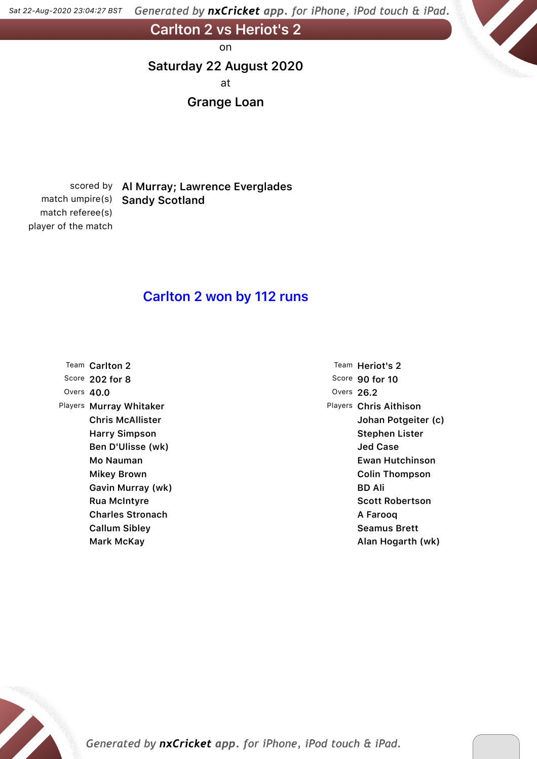Generated by nxCricket app. for iPhone, iPod touch & iPad. *Sat 22-Aug-2020 23,04,27 BST*

**Carlton 2 vs Heriot's 2**

on

### **Saturday 22 August 2020**

at

### **Grange Loan**

match referee(s) player of the match

## scored by **Al Murray; Lawrence Everglades** match umpire(s) **Sandy Scotland**

### **Carlton 2 won by 112 runs**

|              | Team Carlton 2          |
|--------------|-------------------------|
|              | Score 202 for 8         |
| Overs $40.0$ |                         |
| Players      | Murray Whitaker         |
|              | <b>Chris McAllister</b> |
|              | <b>Harry Simpson</b>    |
|              | Ben D'Ulisse (wk)       |
|              | Mo Nauman               |
|              | Mikey Brown             |
|              | Gavin Murray (wk)       |
|              | Rua McIntyre            |
|              | <b>Charles Stronach</b> |
|              | <b>Callum Sibley</b>    |
|              | Mark McKay              |

Team **Heriot's 2** Score **90 for 10** Overs **26.2** Players **Chris Aithison Johan Potgeiter (c) Stephen Lister Jed Case Ewan Hutchinson Colin Thompson BD Ali Scott Robertson A Farooq Seamus Brett Alan Hogarth (wk)**

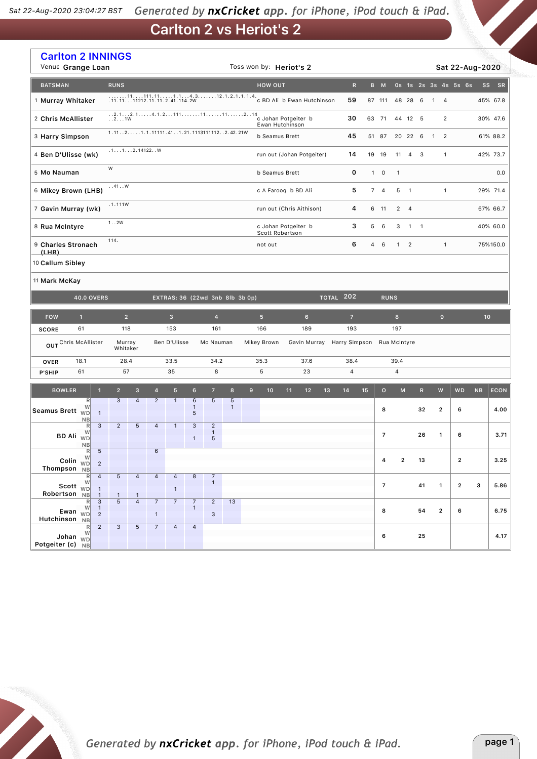#### Generated by nxCricket app. for iPhone, iPod touch & iPad. *Sat 22-Aug-2020 23,04,27 BST*

**Carlton 2 vs Heriot's 2**

| <b>Carlton 2 INNINGS</b><br>Venue Grange Loan |                                                            |                         |                                       |                                |                |                                |                                                                                             |                            |   | Toss won by: Heriot's 2                |    |                            |    |                  |                |                |                |                |                          |              |                                                                                                            | Sat 22-Aug-2020      |                 |             |
|-----------------------------------------------|------------------------------------------------------------|-------------------------|---------------------------------------|--------------------------------|----------------|--------------------------------|---------------------------------------------------------------------------------------------|----------------------------|---|----------------------------------------|----|----------------------------|----|------------------|----------------|----------------|----------------|----------------|--------------------------|--------------|------------------------------------------------------------------------------------------------------------|----------------------|-----------------|-------------|
| <b>BATSMAN</b>                                |                                                            | <b>RUNS</b>             |                                       |                                |                |                                |                                                                                             |                            |   | <b>HOW OUT</b>                         |    |                            |    | ${\sf R}$        |                | B M            |                |                |                          |              |                                                                                                            | Os 1s 2s 3s 4s 5s 6s | <b>SS</b>       | SR          |
| 1 Murray Whitaker                             |                                                            |                         | $1111111111111111.312.1.2.1.1.1.1.4.$ |                                |                |                                |                                                                                             |                            |   | c BD Ali b Ewan Hutchinson<br>59       |    |                            |    |                  |                | 87 111         |                | 48 28 6        |                          | $\mathbf{1}$ | $\overline{4}$                                                                                             |                      |                 | 45% 67.8    |
| 2 Chris McAllister                            |                                                            | $\ldots$ 2. $\ldots$ 1W |                                       |                                |                |                                | $1, 2, 1, \ldots, 2, 1, \ldots, 4, 1, 2, \ldots, 11, \ldots, 11, \ldots, 11, \ldots, 2, 14$ |                            |   | c Johan Potgeiter b<br>Ewan Hutchinson |    |                            |    | 30               |                | 63 71          |                | 44 12 5        |                          |              | $\overline{2}$                                                                                             |                      |                 | 30% 47.6    |
| 3 Harry Simpson                               |                                                            |                         |                                       |                                |                |                                | 1.1121.1.11111.411.21.11131111122.42.21W                                                    |                            |   | b Seamus Brett                         |    |                            |    | 45               |                | 51 87          |                | 20 22 6        |                          | $\mathbf{1}$ | $\overline{2}$                                                                                             |                      |                 | 61% 88.2    |
| 4 Ben D'Ulisse (wk)                           |                                                            |                         | .1. 1. 2.14122. . W                   |                                |                |                                |                                                                                             |                            |   | run out (Johan Potgeiter)              |    |                            |    | 14               |                | 19 19          | 11             | $\overline{4}$ | $_{3}$                   |              | $\mathbf{1}$                                                                                               |                      |                 | 42% 73.7    |
| 5 Mo Nauman                                   |                                                            | W                       |                                       |                                |                |                                |                                                                                             |                            |   | b Seamus Brett                         |    |                            |    | 0                |                | $1 \quad 0$    | $\mathbf{1}$   |                |                          |              |                                                                                                            |                      |                 | 0.0         |
| 6 Mikey Brown (LHB)                           |                                                            | . .41. .W               |                                       |                                |                |                                |                                                                                             |                            |   | c A Farooq b BD Ali                    |    |                            |    | 5                |                | 7 <sub>4</sub> | 5              | $\overline{1}$ |                          |              | $\mathbf{1}$                                                                                               |                      |                 | 29% 71.4    |
| 7 Gavin Murray (wk)                           |                                                            | .1.111W                 |                                       |                                |                |                                |                                                                                             |                            |   | run out (Chris Aithison)               |    |                            |    | 4                |                | 6 11           | $\overline{2}$ | $\overline{4}$ |                          |              |                                                                                                            |                      |                 | 67% 66.7    |
| 8 Rua McIntyre                                |                                                            | 1.02W                   |                                       |                                |                |                                |                                                                                             |                            |   | c Johan Potgeiter b<br>Scott Robertson |    |                            |    | 3                | 5              | 6              | 3              | $\overline{1}$ | $\overline{\phantom{0}}$ |              |                                                                                                            |                      |                 | 40% 60.0    |
| 9 Charles Stronach                            |                                                            | 114.                    |                                       |                                |                |                                |                                                                                             |                            |   | not out                                |    |                            |    | 6                | $\overline{4}$ | 6              | $\mathbf{1}$   | $\overline{2}$ |                          |              | $\mathbf{1}$                                                                                               |                      |                 | 75%150.0    |
| (LHB)<br>10 Callum Sibley                     |                                                            |                         |                                       |                                |                |                                |                                                                                             |                            |   |                                        |    |                            |    |                  |                |                |                |                |                          |              |                                                                                                            |                      |                 |             |
| 11 Mark McKay                                 |                                                            |                         |                                       |                                |                |                                |                                                                                             |                            |   |                                        |    |                            |    |                  |                |                |                |                |                          |              |                                                                                                            |                      |                 |             |
|                                               | <b>40.0 OVERS</b>                                          |                         |                                       |                                |                |                                | EXTRAS: 36 (22wd 3nb 8lb 3b 0p)                                                             |                            |   |                                        |    |                            |    | <b>TOTAL 202</b> |                | <b>RUNS</b>    |                |                |                          |              |                                                                                                            |                      |                 |             |
| <b>FOW</b>                                    | $\mathbf{1}$                                               | $\overline{2}$          |                                       |                                | $\overline{3}$ |                                | $\overline{4}$                                                                              |                            |   | 5 <sup>5</sup>                         |    | $6\phantom{1}$             |    | $\overline{z}$   |                |                | 8              |                |                          |              | $\mathbf 9$                                                                                                |                      | 10 <sub>1</sub> |             |
| <b>SCORE</b>                                  | 61                                                         | 118                     |                                       |                                | 153            |                                | 161                                                                                         |                            |   | 166                                    |    | 189                        |    | 193              |                |                | 197            |                |                          |              |                                                                                                            |                      |                 |             |
| OUT Chris McAllister                          |                                                            | Murray<br>Whitaker      |                                       |                                | Ben D'Ulisse   |                                | Mo Nauman                                                                                   |                            |   | Mikey Brown                            |    | Gavin Murray Harry Simpson |    |                  |                |                | Rua McIntyre   |                |                          |              |                                                                                                            |                      |                 |             |
| <b>OVER</b>                                   | 18.1                                                       | 28.4                    |                                       |                                | 33.5           |                                | 34.2                                                                                        |                            |   | 35.3                                   |    | 37.6                       |    | 38.4             |                |                | 39.4           |                |                          |              |                                                                                                            |                      |                 |             |
| <b>P'SHIP</b>                                 | 61                                                         | 57                      |                                       |                                | 35             |                                | 8                                                                                           |                            |   | $\mathbf 5$                            |    | 23                         |    | 4                |                |                | 4              |                |                          |              |                                                                                                            |                      |                 |             |
| <b>BOWLER</b>                                 | $\mathbf{1}$                                               | $\overline{2}$          | 3                                     | $\overline{4}$                 | 5 <sup>5</sup> | $6\phantom{1}$                 | $\overline{7}$                                                                              | 8                          | 9 | 10                                     | 11 | 12                         | 13 | 14               | 15             | $\circ$        |                | M              | $\mathsf{R}$             |              | $\mathsf{W}% _{T}=\mathsf{W}_{T}\!\left( a,b\right) ,\ \mathsf{W}_{T}=\mathsf{W}_{T}\!\left( a,b\right) ,$ | <b>WD</b>            | NB              | <b>ECON</b> |
| <b>Seamus Brett</b>                           | R<br>W<br><b>WD</b><br>$\mathbf{1}$                        | 3                       | $\overline{4}$                        | $\overline{2}$                 | $\mathbf{1}$   | 6<br>$\mathbf{1}$<br>5         | $5\phantom{.0}$                                                                             | $\sqrt{5}$<br>$\mathbf{1}$ |   |                                        |    |                            |    |                  |                | 8              |                |                | 32                       |              | 2                                                                                                          | 6                    |                 | 4.00        |
|                                               | <b>NB</b><br>$\overline{3}$<br>R<br>W                      | $\overline{c}$          | 5                                     | $\overline{4}$                 | $\mathbf{1}$   | 3                              | $\overline{2}$<br>$\mathbf{1}$                                                              |                            |   |                                        |    |                            |    |                  |                |                |                |                |                          |              |                                                                                                            |                      |                 |             |
| BD Ali <sub>WD</sub>                          | NB                                                         |                         |                                       |                                |                | $\mathbf{1}$                   | $5\phantom{.0}$                                                                             |                            |   |                                        |    |                            |    |                  |                | $\overline{7}$ |                |                | 26                       |              | 1                                                                                                          | 6                    |                 | 3.71        |
| Colin $W_{\text{WD}}^{W}$                     | R<br>5<br>$\overline{2}$                                   |                         |                                       | 6                              |                |                                |                                                                                             |                            |   |                                        |    |                            |    |                  |                | 4              |                | $\mathbf 2$    | 13                       |              |                                                                                                            | $\mathbf 2$          |                 | 3.25        |
| Thompson NB                                   | R<br>$\overline{4}$                                        | 5 <sup>1</sup>          | $\overline{a}$                        | $\overline{4}$                 | $\overline{4}$ | 8                              | $\frac{7}{1}$                                                                               |                            |   |                                        |    |                            |    |                  |                |                |                |                |                          |              |                                                                                                            |                      |                 |             |
| Scott <sub>WD</sub><br>Robertson NB           | W<br>$\mathbf{1}$<br>$\mathbf{1}$                          |                         |                                       |                                | $\mathbf{1}$   |                                |                                                                                             |                            |   |                                        |    |                            |    |                  |                | $\overline{7}$ |                |                | 41                       |              | $\mathbf{1}$                                                                                               | $\overline{2}$       | 3               | 5.86        |
| Ewan $\overline{WD}$<br>Hutchinson NB         | $\overline{3}$<br>R<br>W<br>$\mathbf{1}$<br>$\overline{2}$ | 5                       | $\overline{4}$                        | $\overline{7}$<br>$\mathbf{1}$ | $\overline{7}$ | $\overline{7}$<br>$\mathbf{1}$ | $\overline{2}$<br>$\ensuremath{\mathsf{3}}$                                                 | 13                         |   |                                        |    |                            |    |                  |                | 8              |                |                | 54                       |              | $\overline{2}$                                                                                             | 6                    |                 | 6.75        |
| Johan $W_D$<br>Potgeiter (c) NB               | $\overline{2}$<br>R<br>W                                   | 3 <sup>7</sup>          | $\overline{5}$                        | 7 <sup>7</sup>                 | $\overline{4}$ | $\overline{4}$                 |                                                                                             |                            |   |                                        |    |                            |    |                  |                | 6              |                |                | 25                       |              |                                                                                                            |                      |                 | 4.17        |

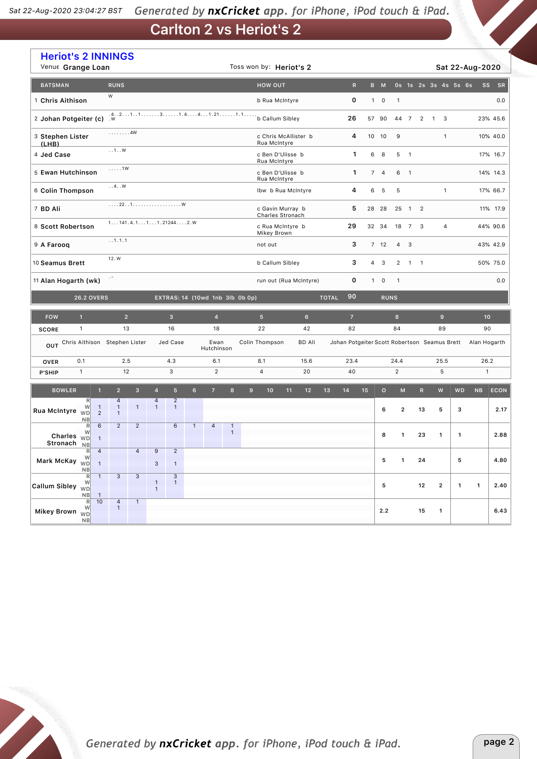## **Carlton 2 vs Heriot's 2**

| Venue Grange Loan                                                                                                       | <b>Heriot's 2 INNINGS</b>                                                                   |                                                | Toss won by: Heriot's 2              |                                                           |              |                                  |              |                           | Sat 22-Aug-2020              |                 |
|-------------------------------------------------------------------------------------------------------------------------|---------------------------------------------------------------------------------------------|------------------------------------------------|--------------------------------------|-----------------------------------------------------------|--------------|----------------------------------|--------------|---------------------------|------------------------------|-----------------|
| <b>RUNS</b><br><b>BATSMAN</b>                                                                                           |                                                                                             |                                                | <b>HOW OUT</b>                       | $\mathbb{R}$                                              | B M          |                                  |              | 0s 1s 2s 3s 4s 5s 6s      | <b>SS</b>                    | <b>SR</b>       |
| W<br>1 Chris Aithison                                                                                                   |                                                                                             |                                                | b Rua McIntyre                       | 0                                                         | $1 \quad 0$  | $\mathbf{1}$                     |              |                           |                              | 0.0             |
| 2 Johan Potgeiter (c)                                                                                                   | $1.421131.441.211.1$                                                                        | b Callum Sibley                                | 26                                   | 57 90                                                     | 44 7         | $\overline{2}$<br>$\overline{1}$ | 3            |                           | 23% 45.6                     |                 |
| . 4W<br>3 Stephen Lister<br>(LHB)                                                                                       |                                                                                             | c Chris McAllister b<br>Rua McIntyre           | 4                                    | 10 10                                                     | $\mathsf g$  |                                  | $\mathbf{1}$ |                           | 10% 40.0                     |                 |
| $\dots$ 1W<br>4 Jed Case                                                                                                |                                                                                             |                                                | c Ben D'Ulisse b<br>Rua McIntyre     | 1                                                         | 6<br>8       | 5<br>$\overline{\phantom{0}}$    |              |                           |                              | 17% 16.7        |
| $\ldots$ . 1W<br>5 Ewan Hutchinson                                                                                      |                                                                                             |                                                | c Ben D'Ulisse b<br>Rua McIntyre     | 1                                                         | 74           | 6<br>$\overline{\phantom{0}}$    |              |                           |                              | 14% 14.3        |
| $\ldots 4 \ldots W$<br>6 Colin Thompson                                                                                 |                                                                                             |                                                | Ibw b Rua McIntyre                   | 4                                                         | 6<br>5       | 5                                |              | $\mathbf{1}$              |                              | 17% 66.7        |
| 7 BD Ali                                                                                                                | 221                                                                                         |                                                | c Gavin Murray b<br>Charles Stronach | 5                                                         | 28 28        | 25<br>$1\quad 2$                 |              |                           |                              | 11% 17.9        |
| 8 Scott Robertson                                                                                                       | $1. 141.4.1. 1. 1. 21244. 2. W$                                                             |                                                | c Rua McIntyre b<br>Mikey Brown      | 29                                                        | 32 34        | 18<br>$\overline{7}$             | 3            | $\overline{a}$            |                              | 44% 90.6        |
| . .1.1.1<br>9 A Farooq                                                                                                  |                                                                                             |                                                | not out                              | 3                                                         | 7 12         | $4 \quad 3$                      |              |                           |                              | 43% 42.9        |
| 12.W<br>10 Seamus Brett                                                                                                 |                                                                                             |                                                | b Callum Sibley                      | 3                                                         | 4<br>3       | $\overline{2}$<br>$1 \quad 1$    |              |                           |                              | 50% 75.0        |
| $\epsilon$ =<br>11 Alan Hogarth (wk)                                                                                    |                                                                                             |                                                | run out (Rua McIntyre)               | 0                                                         | $1 \quad 0$  | $\mathbf{1}$                     |              |                           |                              | 0.0             |
| <b>26.2 OVERS</b>                                                                                                       |                                                                                             | EXTRAS: 14 (10wd 1nb 3lb 0b 0p)                |                                      | 90<br><b>TOTAL</b>                                        | <b>RUNS</b>  |                                  |              |                           |                              |                 |
|                                                                                                                         |                                                                                             |                                                |                                      |                                                           |              |                                  |              |                           |                              |                 |
| <b>FOW</b><br>$\mathbf{1}$                                                                                              | 2 <sup>1</sup><br>$\overline{\mathbf{3}}$                                                   | $\overline{4}$                                 | 5 <sup>5</sup><br>$6\phantom{.}$     | $\overline{7}$                                            |              | $\bf8$                           |              | $\mathbf 9$               |                              | 10 <sup>°</sup> |
| $\mathbf{1}$<br><b>SCORE</b>                                                                                            | 13<br>16                                                                                    | 18                                             | 22<br>42                             | 82                                                        |              | 84                               |              | 89                        | 90                           |                 |
| Chris Aithison Stephen Lister<br>OUT                                                                                    | Jed Case                                                                                    | Ewan<br>Hutchinson                             | Colin Thompson<br><b>BD Ali</b>      | Johan Potgeiter Scott Robertson Seamus Brett Alan Hogarth |              |                                  |              |                           |                              |                 |
| 0.1<br><b>OVER</b>                                                                                                      | 2.5<br>4.3                                                                                  | 6.1                                            | 8.1<br>15.6                          | 23.4                                                      |              | 24.4                             |              | 25.5                      | 26.2                         |                 |
| $\mathbf{1}$<br>P'SHIP                                                                                                  | 3<br>12                                                                                     | $\overline{2}$                                 | $\overline{4}$<br>20                 | 40                                                        |              | $\overline{2}$                   |              | 5                         |                              | $\mathbf{1}$    |
| <b>BOWLER</b><br>$\mathbf{1}$<br>2 <sup>1</sup>                                                                         | 3 <sup>2</sup><br>$5\phantom{1}$<br>$6\phantom{1}$<br>$\overline{4}$                        | $\overline{7}$<br>8                            | 9<br>10<br>11<br>12                  | 13<br>14<br>15                                            | $\mathbf{o}$ | M                                | $\mathsf{R}$ | $\boldsymbol{\mathsf{W}}$ | <b>WD</b><br>NB              | <b>ECON</b>     |
| R<br>$\overline{4}$<br>W<br>$\mathbf{1}$<br>$\mathbf{1}$<br>Rua McIntyre<br><b>WD</b><br>$\overline{2}$<br>$\mathbf{1}$ | $\overline{2}$<br>$\overline{a}$<br>$\mathbf{1}$<br>$\mathbf{1}$<br>$\mathbf{1}$            |                                                |                                      |                                                           | 6            | $\mathbf{2}$                     | 13           | 5                         | з                            | 2.17            |
| <b>NB</b><br>6<br>$\overline{2}$<br>R<br>W<br>Charles $\overline{w}$<br>$\mathbf{1}$                                    | $\overline{2}$<br>6<br>$\mathbf{1}$                                                         | $\overline{4}$<br>$\mathbf{1}$<br>$\mathbf{1}$ |                                      |                                                           | 8            | $\mathbf{1}$                     | 23           | 1                         | 1                            | 2.88            |
| Stronach<br><b>NB</b><br>$\overline{4}$<br>R<br>W                                                                       | $\overline{4}$<br>$\overline{9}$<br>$\overline{2}$                                          |                                                |                                      |                                                           | 5            | $\mathbf 1$                      | ${\bf 24}$   |                           | 5                            | 4.80            |
| Mark McKay WD<br>$\overline{1}$<br>NB                                                                                   | 3<br>$\mathbf{1}$                                                                           |                                                |                                      |                                                           |              |                                  |              |                           |                              |                 |
| $\mathbf{3}$<br>$\mathsf{R}$<br>$\mathbf{1}$<br>W<br>Callum Sibley $\sqrt{v}$<br>NB<br>R<br>10                          | $\overline{3}$<br>$\ensuremath{\mathsf{3}}$<br>$\mathbf{1}$<br>$\mathbf{1}$<br>$\mathbf{1}$ |                                                |                                      |                                                           | 5            |                                  | 12           | $\mathbf{2}$              | $\mathbf{1}$<br>$\mathbf{1}$ | 2.40            |

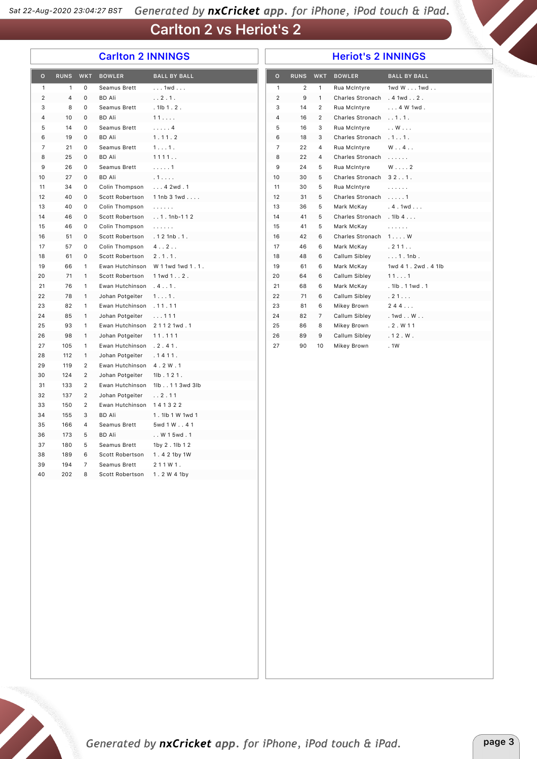### **Carlton 2 vs Heriot's 2**

#### **Carlton 2 INNINGS**

#### **Heriot's 2 INNINGS**

| $\overline{O}$ | <b>RUNS</b> | <b>WKT</b>     | <b>BOWLER</b>   | <b>BALL BY BALL</b>   |
|----------------|-------------|----------------|-----------------|-----------------------|
| 1              | 1           | 0              | Seamus Brett    | $\ldots$ 1wd $\ldots$ |
| 2              | 4           | 0              | BD Ali          | . . 2.1.              |
| 3              | 8           | 0              | Seamus Brett    | $. 1$ lb $1.2.$       |
| 4              | 10          | 0              | <b>BD Ali</b>   | 11                    |
| 5              | 14          | 0              | Seamus Brett    | . 4                   |
| 6              | 19          | 0              | <b>BD Ali</b>   | 1.11.2                |
| 7              | 21          | 0              | Seamus Brett    | 1.1.11.               |
| 8              | 25          | 0              | <b>BD Ali</b>   | 1111                  |
| 9              | 26          | 0              | Seamus Brett    | . 1                   |
| 10             | 27          | 0              | <b>BD Ali</b>   | .1.                   |
| 11             | 34          | 0              | Colin Thompson  | 42wd.1                |
| 12             | 40          | 0              | Scott Robertson | 11nb31wd              |
| 13             | 40          | $\Omega$       | Colin Thompson  | .                     |
| 14             | 46          | 0              | Scott Robertson | $. . 1. 1$ nb-112     |
| 15             | 46          | 0              | Colin Thompson  | .                     |
| 16             | 51          | 0              | Scott Robertson | .121nb.1.             |
| 17             | 57          | 0              | Colin Thompson  | 4.12.1                |
| 18             | 61          | 0              | Scott Robertson | 2.1.1.                |
| 19             | 66          | 1              | Ewan Hutchinson | W 11wd 1wd 1, 1,      |
| 20             | 71          | $\mathbf{1}$   | Scott Robertson | $11wd12$ .            |
| 21             | 76          | 1              | Ewan Hutchinson | .4.11.                |
| 22             | 78          | 1              | Johan Potgeiter | 1.1.11.               |
| 23             | 82          | 1              | Ewan Hutchinson | .11.11                |
| 24             | 85          | 1              | Johan Potgeiter | $\ldots$ 111          |
| 25             | 93          | 1              | Ewan Hutchinson | 21121wd.1             |
| 26             | 98          | 1              | Johan Potgeiter | 11.111                |
| 27             | 105         | $\mathbf{1}$   | Ewan Hutchinson | .2.41.                |
| 28             | 112         | $\mathbf{1}$   | Johan Potgeiter | .1411.                |
| 29             | 119         | $\overline{c}$ | Ewan Hutchinson | 4.2W.1                |
| 30             | 124         | $\overline{2}$ | Johan Potgeiter | 1lb.121.              |
| 31             | 133         | $\overline{2}$ | Ewan Hutchinson | 1lb113wd3lb           |
| 32             | 137         | $\overline{2}$ | Johan Potgeiter | . . 2.11              |
| 33             | 150         | $\overline{c}$ | Ewan Hutchinson | 141322                |
| 34             | 155         | 3              | <b>BD Ali</b>   | 1.1lb 1 W 1wd 1       |
| 35             | 166         | 4              | Seamus Brett    | 5wd 1 W 4 1           |
| 36             | 173         | 5              | <b>BD Ali</b>   | W 1 5wd.1             |
| 37             | 180         | 5              | Seamus Brett    | 1by 2.1lb 12          |
| 38             | 189         | 6              | Scott Robertson | 1.42 1by 1W           |
| 39             | 194         | $\overline{7}$ | Seamus Brett    | 211W1.                |
| 40             | 202         | 8              | Scott Robertson | 1.2 W 4 1by           |
|                |             |                |                 |                       |
|                |             |                |                 |                       |
|                |             |                |                 |                       |

| $\circ$        | <b>RUNS</b>    | <b>WKT</b>     | <b>BOWLER</b>           | <b>BALL BY BALL</b> |
|----------------|----------------|----------------|-------------------------|---------------------|
| 1              | $\overline{2}$ | 1              | Rua McIntyre            | 1wd W 1wd           |
| 2              | 9              | 1              | Charles Stronach        | .41wd. .2.          |
| 3              | 14             | 2              | Rua McIntyre            | $\ldots$ 4 W 1 wd . |
| 4              | 16             | $\overline{2}$ | Charles Stronach        | . . 1. 1.           |
| 5              | 16             | 3              | Rua McIntyre            | . . W               |
| 6              | 18             | 3              | Charles Stronach        | .1.01.              |
| $\overline{7}$ | 22             | 4              | Rua McIntyre            | $W \ldots 4 \ldots$ |
| 8              | 22             | 4              | <b>Charles Stronach</b> | .                   |
| 9              | 24             | 5              | Rua McIntvre            | $W \ldots 2$        |
| 10             | 30             | 5              | Charles Stronach        | 32.1.               |
| 11             | 30             | 5              | Rua McIntyre            | .                   |
| 12             | 31             | 5              | Charles Stronach        | . 1                 |
| 13             | 36             | 5              | Mark McKav              | .4.1wd              |
| 14             | 41             | 5              | Charles Stronach        | $.1$ lb $4 \ldots$  |
| 15             | 41             | 5              | Mark McKay              | .                   |
| 16             | 42             | 6              | Charles Stronach        | $1 \ldots W$        |
| 17             | 46             | 6              | Mark McKay              | .211.               |
| 18             | 48             | 6              | Callum Sibley           | $\ldots 1.1$ nb.    |
| 19             | 61             | 6              | Mark McKay              | 1wd 41.2wd.41lb     |
| 20             | 64             | 6              | Callum Sibley           | 111                 |
| 21             | 68             | 6              | Mark McKay              | . 1lb. 1 1wd. 1     |
| 22             | 71             | 6              | Callum Sibley           | .21                 |
| 23             | 81             | 6              | Mikey Brown             | 244                 |
| 24             | 82             | 7              | Callum Sibley           | . 1wd W             |
| 25             | 86             | 8              | Mikey Brown             | .2. W11             |
| 26             | 89             | 9              | Callum Siblev           | .12. W.             |
| 27             | 90             | 10             | Mikey Brown             | . 1W                |

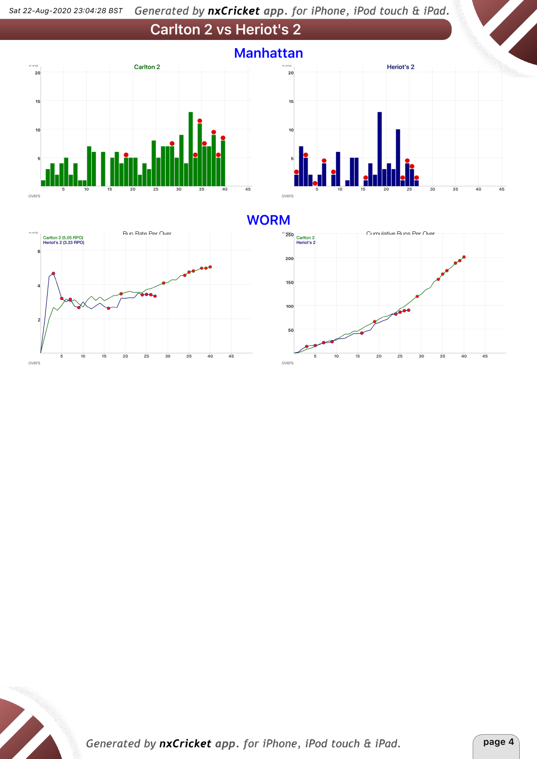#### Generated by nxCricket app. for iPhone, iPod touch & iPad. *Sat 22-Aug-2020 23,04,28 BST*







### **WORM**